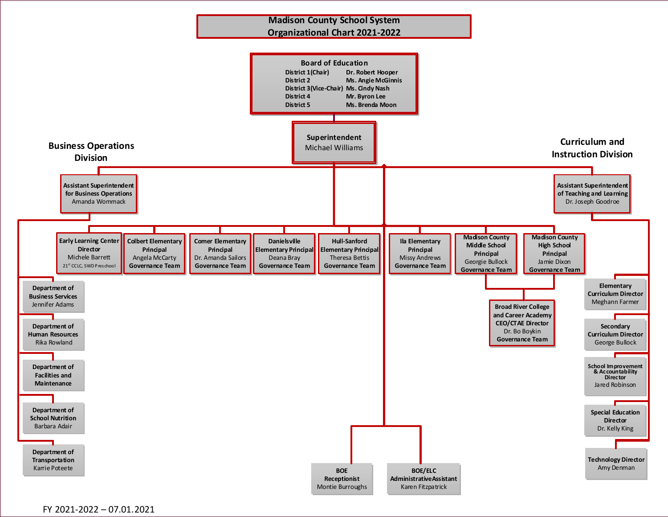

FY 2021-2022 – 07.01.2021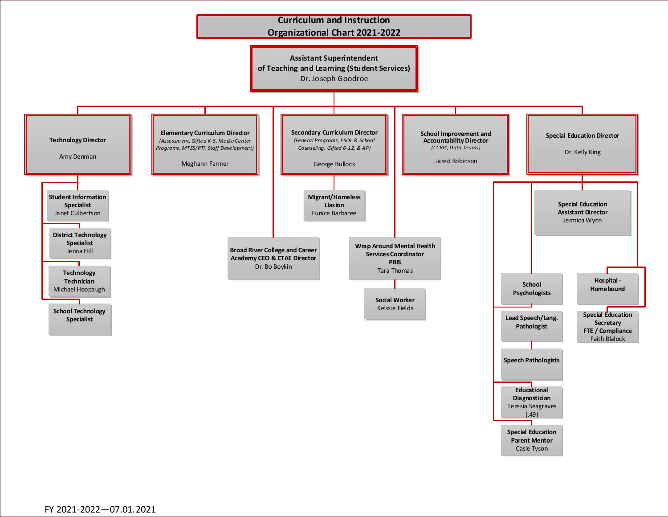